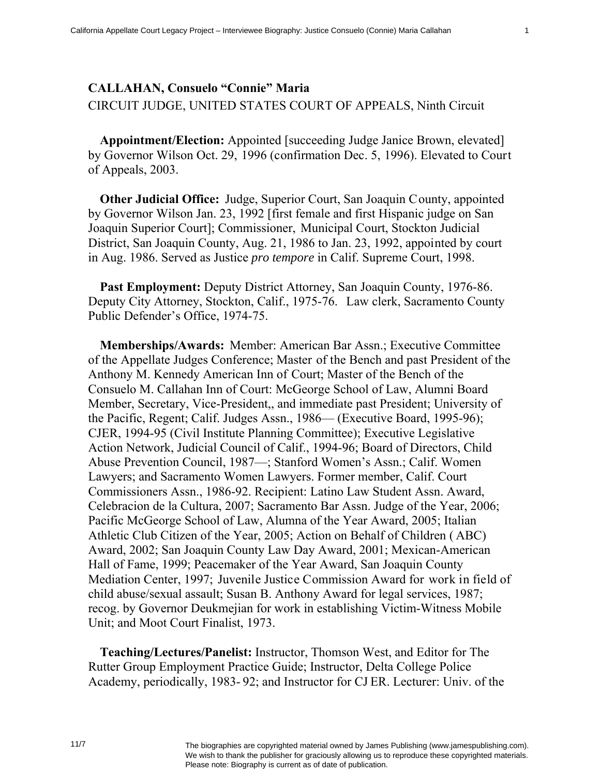## **CALLAHAN, Consuelo "Connie" Maria**  CIRCUIT JUDGE, UNITED STATES COURT OF APPEALS, Ninth Circuit

**Appointment/Election:** Appointed [succeeding Judge Janice Brown, elevated] by Governor Wilson Oct. 29, 1996 (confirmation Dec. 5, 1996). Elevated to Court of Appeals, 2003.

**Other Judicial Office:** Judge, Superior Court, San Joaquin County, appointed by Governor Wilson Jan. 23, 1992 [first female and first Hispanic judge on San Joaquin Superior Court]; Commissioner, Municipal Court, Stockton Judicial District, San Joaquin County, Aug. 21, 1986 to Jan. 23, 1992, appointed by court in Aug. 1986. Served as Justice *pro tempore* in Calif. Supreme Court, 1998.

**Past Employment:** Deputy District Attorney, San Joaquin County, 1976-86. Deputy City Attorney, Stockton, Calif., 1975-76. Law clerk, Sacramento County Public Defender's Office, 1974-75.

**Memberships/Awards:** Member: American Bar Assn.; Executive Committee of the Appellate Judges Conference; Master of the Bench and past President of the Anthony M. Kennedy American Inn of Court; Master of the Bench of the Consuelo M. Callahan Inn of Court: McGeorge School of Law, Alumni Board Member, Secretary, Vice-President,, and immediate past President; University of the Pacific, Regent; Calif. Judges Assn., 1986— (Executive Board, 1995-96); CJER, 1994-95 (Civil Institute Planning Committee); Executive Legislative Action Network, Judicial Council of Calif., 1994-96; Board of Directors, Child Abuse Prevention Council, 1987—; Stanford Women's Assn.; Calif. Women Lawyers; and Sacramento Women Lawyers. Former member, Calif. Court Commissioners Assn., 1986-92. Recipient: Latino Law Student Assn. Award, Celebracion de la Cultura, 2007; Sacramento Bar Assn. Judge of the Year, 2006; Pacific McGeorge School of Law, Alumna of the Year Award, 2005; Italian Athletic Club Citizen of the Year, 2005; Action on Behalf of Children ( ABC) Award, 2002; San Joaquin County Law Day Award, 2001; Mexican-American Hall of Fame, 1999; Peacemaker of the Year Award, San Joaquin County Mediation Center, 1997; Juvenile Justice Commission Award for work in field of child abuse/sexual assault; Susan B. Anthony Award for legal services, 1987; recog. by Governor Deukmejian for work in establishing Victim-Witness Mobile Unit; and Moot Court Finalist, 1973.

**Teaching/Lectures/Panelist:** Instructor, Thomson West, and Editor for The Rutter Group Employment Practice Guide; Instructor, Delta College Police Academy, periodically, 1983- 92; and Instructor for CJ ER. Lecturer: Univ. of the